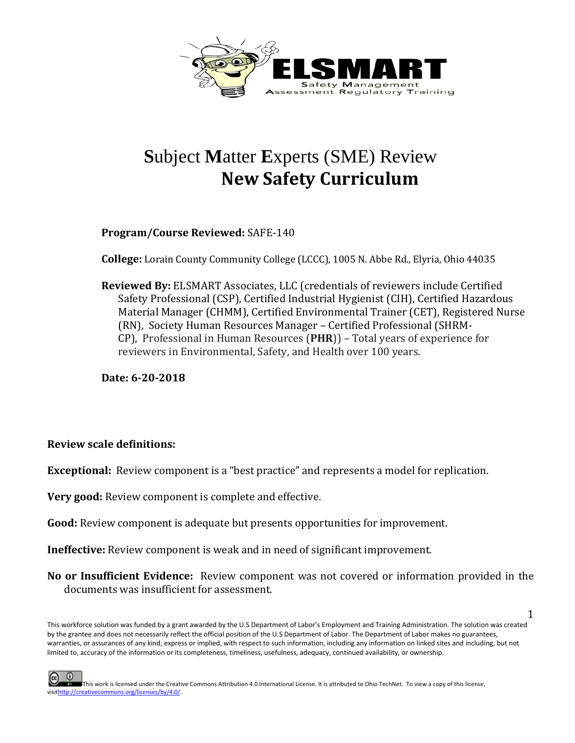

## **S**ubject **M**atter **E**xperts (SME) Review **New Safety Curriculum**

## **Program/Course Reviewed:** SAFE-140

**College:** Lorain County Community College (LCCC), 1005 N. Abbe Rd., Elyria, Ohio 44035

**Reviewed By:** ELSMART Associates, LLC (credentials of reviewers include Certified Safety Professional (CSP), Certified Industrial Hygienist (CIH), Certified Hazardous Material Manager (CHMM), Certified Environmental Trainer (CET), Registered Nurse (RN), Society Human Resources Manager – Certified Professional (SHRM-CP), Professional in Human Resources (**PHR**)) – Total years of experience for reviewers in Environmental, Safety, and Health over 100 years.

**Date: 6-20-2018**

## **Review scale definitions:**

**Exceptional:** Review component is a "best practice" and represents a model for replication.

**Very good:** Review component is complete and effective.

**Good:** Review component is adequate but presents opportunities for improvement.

**Ineffective:** Review component is weak and in need of significant improvement.

**No or Insufficient Evidence:** Review component was not covered or information provided in the documents was insufficient for assessment.

1

This workforce solution was funded by a grant awarded by the U.S Department of Labor's Employment and Training Administration. The solution was created by the grantee and does not necessarily reflect the official position of the U.S Department of Labor. The Department of Labor makes no guarantees, warranties, or assurances of any kind, express or implied, with respect to such information, including any information on linked sites and including, but not limited to, accuracy of the information or its completeness, timeliness, usefulness, adequacy, continued availability, or ownership.

This work is licensed under the Creative Commons Attribution 4.0 International License. It is attributed to Ohio TechNet. To view a copy of this license, visi[thttp://creativecommons.org/licenses/by/4.0/.](http://creativecommons.org/licenses/by/4.0/)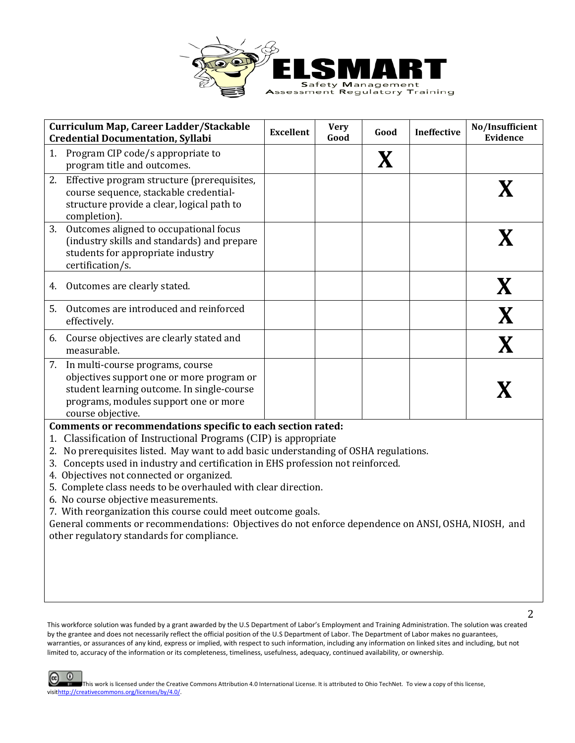

| Curriculum Map, Career Ladder/Stackable<br><b>Credential Documentation, Syllabi</b> |                                                                                                                                                                                              | <b>Excellent</b> | <b>Very</b><br>Good | Good | Ineffective | No/Insufficient<br>Evidence |
|-------------------------------------------------------------------------------------|----------------------------------------------------------------------------------------------------------------------------------------------------------------------------------------------|------------------|---------------------|------|-------------|-----------------------------|
|                                                                                     | 1. Program CIP code/s appropriate to<br>program title and outcomes.                                                                                                                          |                  |                     |      |             |                             |
|                                                                                     | 2. Effective program structure (prerequisites,<br>course sequence, stackable credential-<br>structure provide a clear, logical path to<br>completion).                                       |                  |                     |      |             |                             |
|                                                                                     | 3. Outcomes aligned to occupational focus<br>(industry skills and standards) and prepare<br>students for appropriate industry<br>certification/s.                                            |                  |                     |      |             |                             |
| 4.                                                                                  | Outcomes are clearly stated.                                                                                                                                                                 |                  |                     |      |             |                             |
| 5.                                                                                  | Outcomes are introduced and reinforced<br>effectively.                                                                                                                                       |                  |                     |      |             |                             |
|                                                                                     | 6. Course objectives are clearly stated and<br>measurable.                                                                                                                                   |                  |                     |      |             |                             |
|                                                                                     | 7. In multi-course programs, course<br>objectives support one or more program or<br>student learning outcome. In single-course<br>programs, modules support one or more<br>course objective. |                  |                     |      |             |                             |

## **Comments or recommendations specific to each section rated:**

- 1. Classification of Instructional Programs (CIP) is appropriate
- 2. No prerequisites listed. May want to add basic understanding of OSHA regulations.
- 3. Concepts used in industry and certification in EHS profession not reinforced.
- 4. Objectives not connected or organized.
- 5. Complete class needs to be overhauled with clear direction.
- 6. No course objective measurements.
- 7. With reorganization this course could meet outcome goals.

General comments or recommendations: Objectives do not enforce dependence on ANSI, OSHA, NIOSH, and other regulatory standards for compliance.

This workforce solution was funded by a grant awarded by the U.S Department of Labor's Employment and Training Administration. The solution was created by the grantee and does not necessarily reflect the official position of the U.S Department of Labor. The Department of Labor makes no guarantees, warranties, or assurances of any kind, express or implied, with respect to such information, including any information on linked sites and including, but not limited to, accuracy of the information or its completeness, timeliness, usefulness, adequacy, continued availability, or ownership.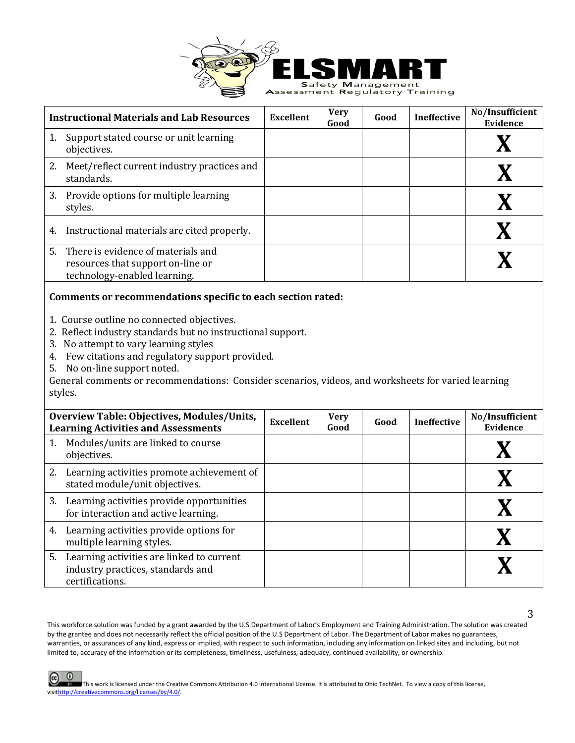

| <b>Instructional Materials and Lab Resources</b>                                                                                                                                                                                                                                                                                                          |                                                                                                         | <b>Excellent</b> | <b>Very</b><br>Good | Good | <b>Ineffective</b> | No/Insufficient<br>Evidence        |  |
|-----------------------------------------------------------------------------------------------------------------------------------------------------------------------------------------------------------------------------------------------------------------------------------------------------------------------------------------------------------|---------------------------------------------------------------------------------------------------------|------------------|---------------------|------|--------------------|------------------------------------|--|
| 1.                                                                                                                                                                                                                                                                                                                                                        | Support stated course or unit learning<br>objectives.                                                   |                  |                     |      |                    | $\mathbf X$                        |  |
|                                                                                                                                                                                                                                                                                                                                                           | 2. Meet/reflect current industry practices and<br>standards.                                            |                  |                     |      |                    | $\mathbf X$                        |  |
|                                                                                                                                                                                                                                                                                                                                                           | 3. Provide options for multiple learning<br>styles.                                                     |                  |                     |      |                    | X                                  |  |
| 4.                                                                                                                                                                                                                                                                                                                                                        | Instructional materials are cited properly.                                                             |                  |                     |      |                    | $\mathbf X$                        |  |
| 5.                                                                                                                                                                                                                                                                                                                                                        | There is evidence of materials and<br>resources that support on-line or<br>technology-enabled learning. |                  |                     |      |                    | X                                  |  |
| Comments or recommendations specific to each section rated:                                                                                                                                                                                                                                                                                               |                                                                                                         |                  |                     |      |                    |                                    |  |
| 1. Course outline no connected objectives.<br>2. Reflect industry standards but no instructional support.<br>3. No attempt to vary learning styles<br>4. Few citations and regulatory support provided.<br>5. No on-line support noted.<br>General comments or recommendations: Consider scenarios, videos, and worksheets for varied learning<br>styles. |                                                                                                         |                  |                     |      |                    |                                    |  |
| <b>Overview Table: Objectives, Modules/Units,</b><br><b>Learning Activities and Assessments</b>                                                                                                                                                                                                                                                           |                                                                                                         | <b>Excellent</b> | <b>Very</b><br>Good | Good | Ineffective        | No/Insufficient<br><b>Evidence</b> |  |
|                                                                                                                                                                                                                                                                                                                                                           | 1. Modules/units are linked to course<br>objectives.                                                    |                  |                     |      |                    | X                                  |  |
| 2.                                                                                                                                                                                                                                                                                                                                                        | Learning activities promote achievement of<br>stated module/unit objectives.                            |                  |                     |      |                    | $\mathbf X$                        |  |
|                                                                                                                                                                                                                                                                                                                                                           | 3. Learning activities provide opportunities<br>for interaction and active learning.                    |                  |                     |      |                    | X                                  |  |
|                                                                                                                                                                                                                                                                                                                                                           | 4. Learning activities provide options for<br>multiple learning styles.                                 |                  |                     |      |                    |                                    |  |
| 5.                                                                                                                                                                                                                                                                                                                                                        | Learning activities are linked to current<br>industry practices, standards and<br>certifications.       |                  |                     |      |                    |                                    |  |

This workforce solution was funded by a grant awarded by the U.S Department of Labor's Employment and Training Administration. The solution was created by the grantee and does not necessarily reflect the official position of the U.S Department of Labor. The Department of Labor makes no guarantees, warranties, or assurances of any kind, express or implied, with respect to such information, including any information on linked sites and including, but not limited to, accuracy of the information or its completeness, timeliness, usefulness, adequacy, continued availability, or ownership.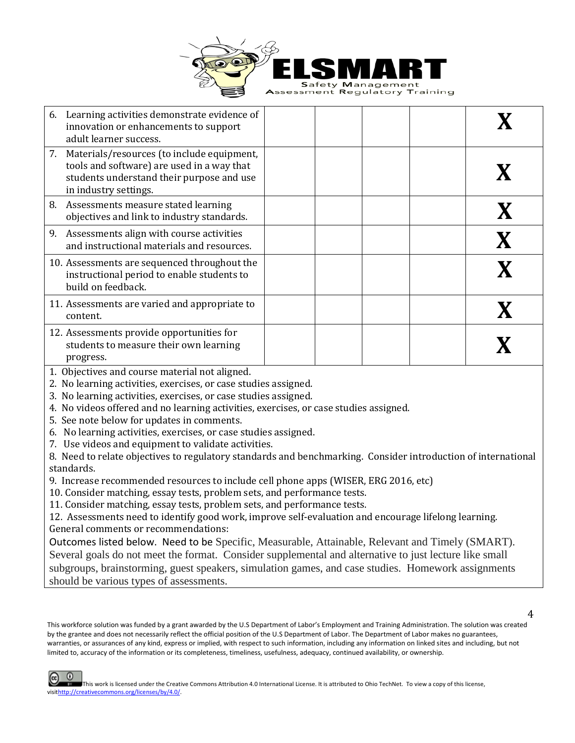

| 6. Learning activities demonstrate evidence of<br>innovation or enhancements to support<br>adult learner success.                                                 |  |  |  |
|-------------------------------------------------------------------------------------------------------------------------------------------------------------------|--|--|--|
| 7. Materials/resources (to include equipment,<br>tools and software) are used in a way that<br>students understand their purpose and use<br>in industry settings. |  |  |  |
| 8. Assessments measure stated learning<br>objectives and link to industry standards.                                                                              |  |  |  |
| 9. Assessments align with course activities<br>and instructional materials and resources.                                                                         |  |  |  |
| 10. Assessments are sequenced throughout the<br>instructional period to enable students to<br>build on feedback.                                                  |  |  |  |
| 11. Assessments are varied and appropriate to<br>content.                                                                                                         |  |  |  |
| 12. Assessments provide opportunities for<br>students to measure their own learning<br>progress.                                                                  |  |  |  |

1. Objectives and course material not aligned.

- 2. No learning activities, exercises, or case studies assigned.
- 3. No learning activities, exercises, or case studies assigned.
- 4. No videos offered and no learning activities, exercises, or case studies assigned.
- 5. See note below for updates in comments.
- 6. No learning activities, exercises, or case studies assigned.
- 7. Use videos and equipment to validate activities.

8. Need to relate objectives to regulatory standards and benchmarking. Consider introduction of international standards.

- 9. Increase recommended resources to include cell phone apps (WISER, ERG 2016, etc)
- 10. Consider matching, essay tests, problem sets, and performance tests.
- 11. Consider matching, essay tests, problem sets, and performance tests.

12. Assessments need to identify good work, improve self-evaluation and encourage lifelong learning. General comments or recommendations:

Outcomes listed below. Need to be Specific, Measurable, Attainable, Relevant and Timely (SMART). Several goals do not meet the format. Consider supplemental and alternative to just lecture like small subgroups, brainstorming, guest speakers, simulation games, and case studies. Homework assignments should be various types of assessments.

This workforce solution was funded by a grant awarded by the U.S Department of Labor's Employment and Training Administration. The solution was created by the grantee and does not necessarily reflect the official position of the U.S Department of Labor. The Department of Labor makes no guarantees, warranties, or assurances of any kind, express or implied, with respect to such information, including any information on linked sites and including, but not limited to, accuracy of the information or its completeness, timeliness, usefulness, adequacy, continued availability, or ownership.